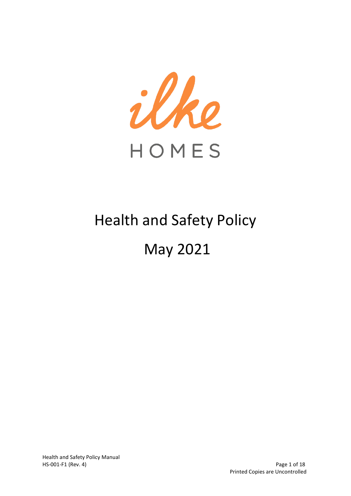

# Health and Safety Policy May 2021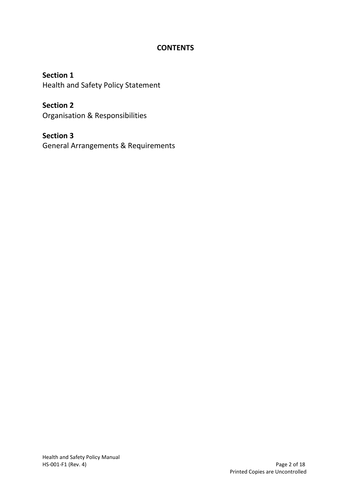# **CONTENTS**

**Section 1** Health and Safety Policy Statement

**Section 2** Organisation & Responsibilities

**Section 3** General Arrangements & Requirements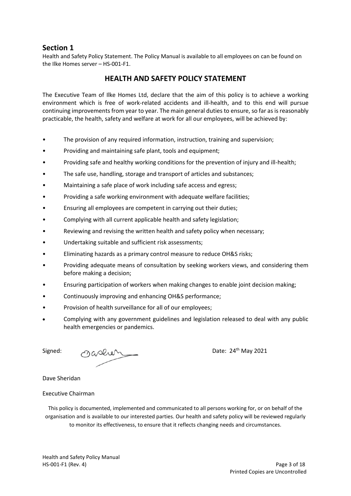## **Section 1**

Health and Safety Policy Statement. The Policy Manual is available to all employees on can be found on the Ilke Homes server – HS-001-F1.

## **HEALTH AND SAFETY POLICY STATEMENT**

The Executive Team of Ilke Homes Ltd, declare that the aim of this policy is to achieve a working environment which is free of work-related accidents and ill-health, and to this end will pursue continuing improvements from year to year. The main general duties to ensure, so far as is reasonably practicable, the health, safety and welfare at work for all our employees, will be achieved by:

- The provision of any required information, instruction, training and supervision;
- Providing and maintaining safe plant, tools and equipment;
- Providing safe and healthy working conditions for the prevention of injury and ill-health;
- The safe use, handling, storage and transport of articles and substances:
- Maintaining a safe place of work including safe access and egress;
- Providing a safe working environment with adequate welfare facilities;
- Ensuring all employees are competent in carrying out their duties;
- Complying with all current applicable health and safety legislation;
- Reviewing and revising the written health and safety policy when necessary;
- Undertaking suitable and sufficient risk assessments;
- Eliminating hazards as a primary control measure to reduce OH&S risks;
- Providing adequate means of consultation by seeking workers views, and considering them before making a decision;
- Ensuring participation of workers when making changes to enable joint decision making;
- Continuously improving and enhancing OH&S performance;
- Provision of health surveillance for all of our employees;
- Complying with any government guidelines and legislation released to deal with any public health emergencies or pandemics.

Signed: Oasher

#### Dave Sheridan

#### Executive Chairman

This policy is documented, implemented and communicated to all persons working for, or on behalf of the organisation and is available to our interested parties. Our health and safety policy will be reviewed regularly to monitor its effectiveness, to ensure that it reflects changing needs and circumstances.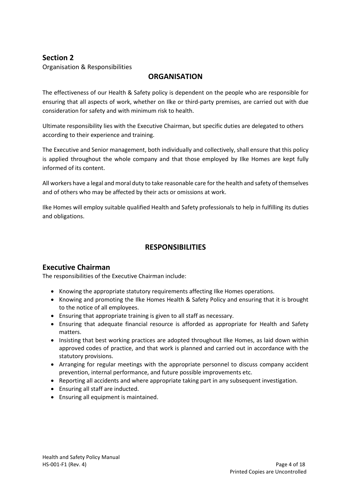# **Section 2**

Organisation & Responsibilities

## **ORGANISATION**

The effectiveness of our Health & Safety policy is dependent on the people who are responsible for ensuring that all aspects of work, whether on Ilke or third-party premises, are carried out with due consideration for safety and with minimum risk to health.

Ultimate responsibility lies with the Executive Chairman, but specific duties are delegated to others according to their experience and training.

The Executive and Senior management, both individually and collectively, shall ensure that this policy is applied throughout the whole company and that those employed by Ilke Homes are kept fully informed of its content.

All workers have a legal and moral duty to take reasonable care for the health and safety of themselves and of others who may be affected by their acts or omissions at work.

Ilke Homes will employ suitable qualified Health and Safety professionals to help in fulfilling its duties and obligations.

## **RESPONSIBILITIES**

## **Executive Chairman**

The responsibilities of the Executive Chairman include:

- Knowing the appropriate statutory requirements affecting Ilke Homes operations.
- Knowing and promoting the Ilke Homes Health & Safety Policy and ensuring that it is brought to the notice of all employees.
- Ensuring that appropriate training is given to all staff as necessary.
- Ensuring that adequate financial resource is afforded as appropriate for Health and Safety matters.
- Insisting that best working practices are adopted throughout Ilke Homes, as laid down within approved codes of practice, and that work is planned and carried out in accordance with the statutory provisions.
- Arranging for regular meetings with the appropriate personnel to discuss company accident prevention, internal performance, and future possible improvements etc.
- Reporting all accidents and where appropriate taking part in any subsequent investigation.
- Ensuring all staff are inducted.
- Ensuring all equipment is maintained.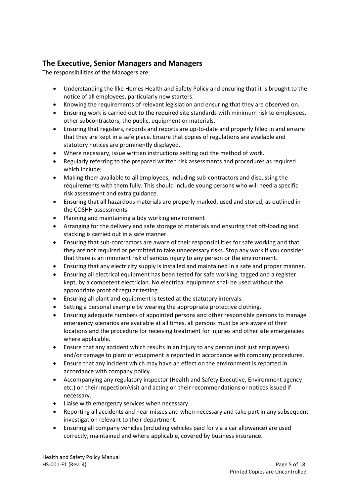# **The Executive, Senior Managers and Managers**

The responsibilities of the Managers are:

- Understanding the Ilke Homes Health and Safety Policy and ensuring that it is brought to the notice of all employees, particularly new starters.
- Knowing the requirements of relevant legislation and ensuring that they are observed on.
- Ensuring work is carried out to the required site standards with minimum risk to employees, other subcontractors, the public, equipment or materials.
- Ensuring that registers, records and reports are up-to-date and properly filled in and ensure that they are kept in a safe place. Ensure that copies of regulations are available and statutory notices are prominently displayed.
- Where necessary, issue written instructions setting out the method of work.
- Regularly referring to the prepared written risk assessments and procedures as required which include;
- Making them available to all employees, including sub-contractors and discussing the requirements with them fully. This should include young persons who will need a specific risk assessment and extra guidance.
- Ensuring that all hazardous materials are properly marked, used and stored, as outlined in the COSHH assessments.
- Planning and maintaining a tidy working environment
- Arranging for the delivery and safe storage of materials and ensuring that off-loading and stacking is carried out in a safe manner.
- Ensuring that sub-contractors are aware of their responsibilities for safe working and that they are not required or permitted to take unnecessary risks. Stop any work if you consider that there is an imminent risk of serious injury to any person or the environment.
- Ensuring that any electricity supply is installed and maintained in a safe and proper manner.
- Ensuring all electrical equipment has been tested for safe working, tagged and a register kept, by a competent electrician. No electrical equipment shall be used without the appropriate proof of regular testing.
- Ensuring all plant and equipment is tested at the statutory intervals.
- Setting a personal example by wearing the appropriate protective clothing.
- Ensuring adequate numbers of appointed persons and other responsible persons to manage emergency scenarios are available at all times, all persons must be are aware of their locations and the procedure for receiving treatment for injuries and other site emergencies where applicable.
- Ensure that any accident which results in an injury to any person (not just employees) and/or damage to plant or equipment is reported in accordance with company procedures.
- Ensure that any incident which may have an effect on the environment is reported in accordance with company policy.
- Accompanying any regulatory inspector (Health and Safety Executive, Environment agency etc.) on their inspection/visit and acting on their recommendations or notices issued if necessary.
- Liaise with emergency services when necessary.
- Reporting all accidents and near misses and when necessary and take part in any subsequent investigation relevant to their department.
- Ensuring all company vehicles (including vehicles paid for via a car allowance) are used correctly, maintained and where applicable, covered by business insurance.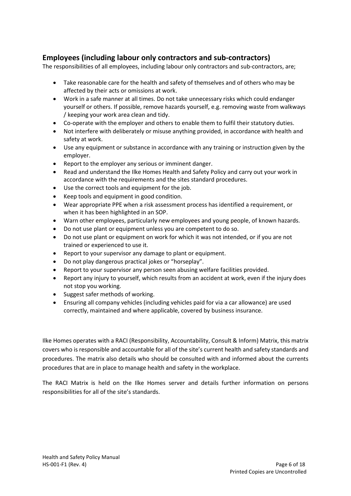# **Employees (including labour only contractors and sub-contractors)**

The responsibilities of all employees, including labour only contractors and sub-contractors, are;

- Take reasonable care for the health and safety of themselves and of others who may be affected by their acts or omissions at work.
- Work in a safe manner at all times. Do not take unnecessary risks which could endanger yourself or others. If possible, remove hazards yourself, e.g. removing waste from walkways / keeping your work area clean and tidy.
- Co-operate with the employer and others to enable them to fulfil their statutory duties.
- Not interfere with deliberately or misuse anything provided, in accordance with health and safety at work.
- Use any equipment or substance in accordance with any training or instruction given by the employer.
- Report to the employer any serious or imminent danger.
- Read and understand the Ilke Homes Health and Safety Policy and carry out your work in accordance with the requirements and the sites standard procedures.
- Use the correct tools and equipment for the job.
- Keep tools and equipment in good condition.
- Wear appropriate PPE when a risk assessment process has identified a requirement, or when it has been highlighted in an SOP.
- Warn other employees, particularly new employees and young people, of known hazards.
- Do not use plant or equipment unless you are competent to do so.
- Do not use plant or equipment on work for which it was not intended, or if you are not trained or experienced to use it.
- Report to your supervisor any damage to plant or equipment.
- Do not play dangerous practical jokes or "horseplay".
- Report to your supervisor any person seen abusing welfare facilities provided.
- Report any injury to yourself, which results from an accident at work, even if the injury does not stop you working.
- Suggest safer methods of working.
- Ensuring all company vehicles (including vehicles paid for via a car allowance) are used correctly, maintained and where applicable, covered by business insurance.

Ilke Homes operates with a RACI (Responsibility, Accountability, Consult & Inform) Matrix, this matrix covers who is responsible and accountable for all of the site's current health and safety standards and procedures. The matrix also details who should be consulted with and informed about the currents procedures that are in place to manage health and safety in the workplace.

The RACI Matrix is held on the Ilke Homes server and details further information on persons responsibilities for all of the site's standards.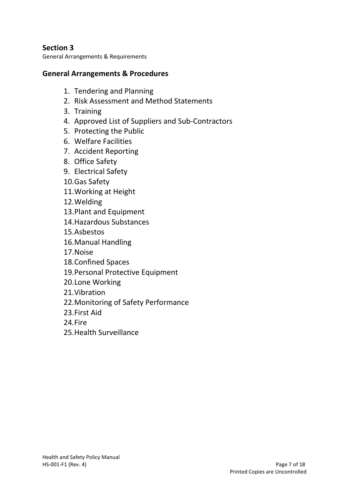# **Section 3**

General Arrangements & Requirements

# **General Arrangements & Procedures**

- 1. Tendering and Planning
- 2. Risk Assessment and Method Statements
- 3. Training
- 4. Approved List of Suppliers and Sub-Contractors
- 5. Protecting the Public
- 6. Welfare Facilities
- 7. Accident Reporting
- 8. Office Safety
- 9. Electrical Safety
- 10.Gas Safety
- 11.Working at Height
- 12.Welding
- 13.Plant and Equipment
- 14.Hazardous Substances
- 15.Asbestos
- 16.Manual Handling
- 17.Noise
- 18.Confined Spaces
- 19.Personal Protective Equipment
- 20.Lone Working
- 21.Vibration
- 22.Monitoring of Safety Performance
- 23.First Aid
- 24.Fire
- 25.Health Surveillance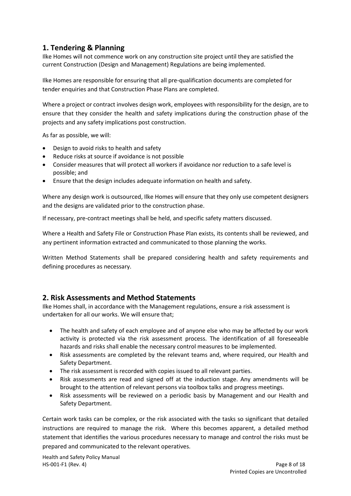# **1. Tendering & Planning**

Ilke Homes will not commence work on any construction site project until they are satisfied the current Construction (Design and Management) Regulations are being implemented.

Ilke Homes are responsible for ensuring that all pre-qualification documents are completed for tender enquiries and that Construction Phase Plans are completed.

Where a project or contract involves design work, employees with responsibility for the design, are to ensure that they consider the health and safety implications during the construction phase of the projects and any safety implications post construction.

As far as possible, we will:

- Design to avoid risks to health and safety
- Reduce risks at source if avoidance is not possible
- Consider measures that will protect all workers if avoidance nor reduction to a safe level is possible; and
- Ensure that the design includes adequate information on health and safety.

Where any design work is outsourced, Ilke Homes will ensure that they only use competent designers and the designs are validated prior to the construction phase.

If necessary, pre-contract meetings shall be held, and specific safety matters discussed.

Where a Health and Safety File or Construction Phase Plan exists, its contents shall be reviewed, and any pertinent information extracted and communicated to those planning the works.

Written Method Statements shall be prepared considering health and safety requirements and defining procedures as necessary.

#### **2. Risk Assessments and Method Statements**

Ilke Homes shall, in accordance with the Management regulations, ensure a risk assessment is undertaken for all our works. We will ensure that;

- The health and safety of each employee and of anyone else who may be affected by our work activity is protected via the risk assessment process. The identification of all foreseeable hazards and risks shall enable the necessary control measures to be implemented.
- Risk assessments are completed by the relevant teams and, where required, our Health and Safety Department.
- The risk assessment is recorded with copies issued to all relevant parties.
- Risk assessments are read and signed off at the induction stage. Any amendments will be brought to the attention of relevant persons via toolbox talks and progress meetings.
- Risk assessments will be reviewed on a periodic basis by Management and our Health and Safety Department.

Certain work tasks can be complex, or the risk associated with the tasks so significant that detailed instructions are required to manage the risk. Where this becomes apparent, a detailed method statement that identifies the various procedures necessary to manage and control the risks must be prepared and communicated to the relevant operatives.

Health and Safety Policy Manual HS-001-F1 (Rev. 4) Page 8 of 18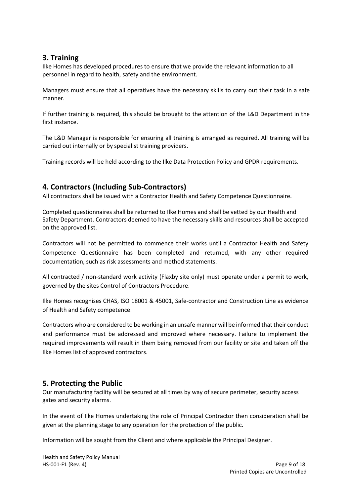## **3. Training**

Ilke Homes has developed procedures to ensure that we provide the relevant information to all personnel in regard to health, safety and the environment.

Managers must ensure that all operatives have the necessary skills to carry out their task in a safe manner.

If further training is required, this should be brought to the attention of the L&D Department in the first instance.

The L&D Manager is responsible for ensuring all training is arranged as required. All training will be carried out internally or by specialist training providers.

Training records will be held according to the Ilke Data Protection Policy and GPDR requirements.

## **4. Contractors (Including Sub-Contractors)**

All contractors shall be issued with a Contractor Health and Safety Competence Questionnaire.

Completed questionnaires shall be returned to Ilke Homes and shall be vetted by our Health and Safety Department. Contractors deemed to have the necessary skills and resources shall be accepted on the approved list.

Contractors will not be permitted to commence their works until a Contractor Health and Safety Competence Questionnaire has been completed and returned, with any other required documentation, such as risk assessments and method statements.

All contracted / non-standard work activity (Flaxby site only) must operate under a permit to work, governed by the sites Control of Contractors Procedure.

Ilke Homes recognises CHAS, ISO 18001 & 45001, Safe-contractor and Construction Line as evidence of Health and Safety competence.

Contractors who are considered to be working in an unsafe manner will be informed that their conduct and performance must be addressed and improved where necessary. Failure to implement the required improvements will result in them being removed from our facility or site and taken off the Ilke Homes list of approved contractors.

## **5. Protecting the Public**

Our manufacturing facility will be secured at all times by way of secure perimeter, security access gates and security alarms.

In the event of Ilke Homes undertaking the role of Principal Contractor then consideration shall be given at the planning stage to any operation for the protection of the public.

Information will be sought from the Client and where applicable the Principal Designer.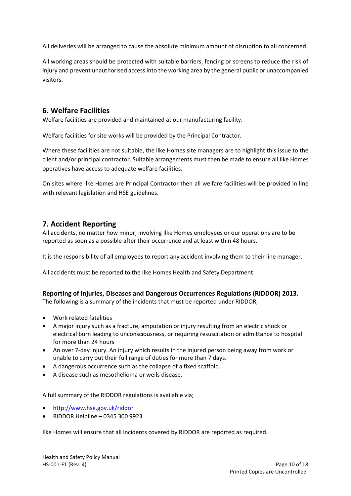All deliveries will be arranged to cause the absolute minimum amount of disruption to all concerned.

All working areas should be protected with suitable barriers, fencing or screens to reduce the risk of injury and prevent unauthorised access into the working area by the general public or unaccompanied visitors.

## **6. Welfare Facilities**

Welfare facilities are provided and maintained at our manufacturing facility.

Welfare facilities for site works will be provided by the Principal Contractor.

Where these facilities are not suitable, the ilke Homes site managers are to highlight this issue to the client and/or principal contractor. Suitable arrangements must then be made to ensure all Ilke Homes operatives have access to adequate welfare facilities.

On sites where ilke Homes are Principal Contractor then all welfare facilities will be provided in line with relevant legislation and HSE guidelines.

# **7. Accident Reporting**

All accidents, no matter how minor, involving Ilke Homes employees or our operations are to be reported as soon as a possible after their occurrence and at least within 48 hours.

It is the responsibility of all employees to report any accident involving them to their line manager.

All accidents must be reported to the Ilke Homes Health and Safety Department.

#### **Reporting of Injuries, Diseases and Dangerous Occurrences Regulations (RIDDOR) 2013.**

The following is a summary of the incidents that must be reported under RIDDOR;

- Work related fatalities
- A major injury such as a fracture, amputation or injury resulting from an electric shock or electrical burn leading to unconsciousness, or requiring resuscitation or admittance to hospital for more than 24 hours
- An over 7-day injury. An injury which results in the injured person being away from work or unable to carry out their full range of duties for more than 7 days.
- A dangerous occurrence such as the collapse of a fixed scaffold.
- A disease such as mesothelioma or weils disease.

A full summary of the RIDDOR regulations is available via;

- <http://www.hse.gov.uk/riddor>
- RIDDOR Helpline 0345 300 9923

Ilke Homes will ensure that all incidents covered by RIDDOR are reported as required.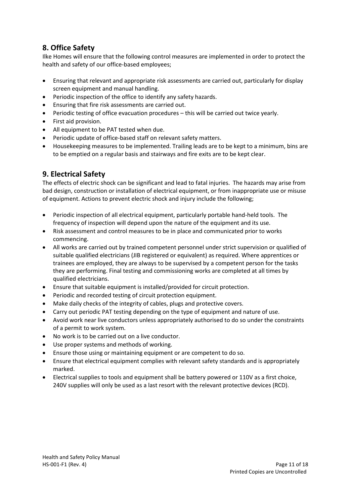# **8. Office Safety**

Ilke Homes will ensure that the following control measures are implemented in order to protect the health and safety of our office-based employees;

- Ensuring that relevant and appropriate risk assessments are carried out, particularly for display screen equipment and manual handling.
- Periodic inspection of the office to identify any safety hazards.
- Ensuring that fire risk assessments are carried out.
- Periodic testing of office evacuation procedures this will be carried out twice yearly.
- First aid provision.
- All equipment to be PAT tested when due.
- Periodic update of office-based staff on relevant safety matters.
- Housekeeping measures to be implemented. Trailing leads are to be kept to a minimum, bins are to be emptied on a regular basis and stairways and fire exits are to be kept clear.

## **9. Electrical Safety**

The effects of electric shock can be significant and lead to fatal injuries. The hazards may arise from bad design, construction or installation of electrical equipment, or from inappropriate use or misuse of equipment. Actions to prevent electric shock and injury include the following;

- Periodic inspection of all electrical equipment, particularly portable hand-held tools. The frequency of inspection will depend upon the nature of the equipment and its use.
- Risk assessment and control measures to be in place and communicated prior to works commencing.
- All works are carried out by trained competent personnel under strict supervision or qualified of suitable qualified electricians (JIB registered or equivalent) as required. Where apprentices or trainees are employed, they are always to be supervised by a competent person for the tasks they are performing. Final testing and commissioning works are completed at all times by qualified electricians.
- Ensure that suitable equipment is installed/provided for circuit protection.
- Periodic and recorded testing of circuit protection equipment.
- Make daily checks of the integrity of cables, plugs and protective covers.
- Carry out periodic PAT testing depending on the type of equipment and nature of use.
- Avoid work near live conductors unless appropriately authorised to do so under the constraints of a permit to work system.
- No work is to be carried out on a live conductor.
- Use proper systems and methods of working.
- Ensure those using or maintaining equipment or are competent to do so.
- Ensure that electrical equipment complies with relevant safety standards and is appropriately marked.
- Electrical supplies to tools and equipment shall be battery powered or 110V as a first choice, 240V supplies will only be used as a last resort with the relevant protective devices (RCD).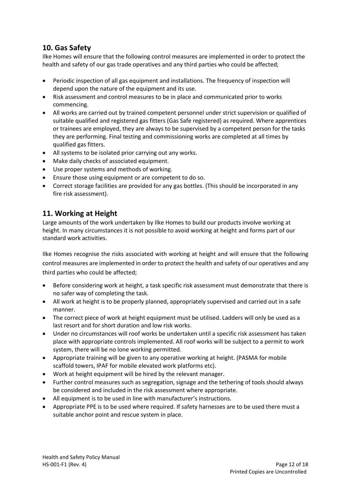# **10. Gas Safety**

Ilke Homes will ensure that the following control measures are implemented in order to protect the health and safety of our gas trade operatives and any third parties who could be affected;

- Periodic inspection of all gas equipment and installations. The frequency of inspection will depend upon the nature of the equipment and its use.
- Risk assessment and control measures to be in place and communicated prior to works commencing.
- All works are carried out by trained competent personnel under strict supervision or qualified of suitable qualified and registered gas fitters (Gas Safe registered) as required. Where apprentices or trainees are employed, they are always to be supervised by a competent person for the tasks they are performing. Final testing and commissioning works are completed at all times by qualified gas fitters.
- All systems to be isolated prior carrying out any works.
- Make daily checks of associated equipment.
- Use proper systems and methods of working.
- Ensure those using equipment or are competent to do so.
- Correct storage facilities are provided for any gas bottles. (This should be incorporated in any fire risk assessment).

## **11. Working at Height**

Large amounts of the work undertaken by Ilke Homes to build our products involve working at height. In many circumstances it is not possible to avoid working at height and forms part of our standard work activities.

Ilke Homes recognise the risks associated with working at height and will ensure that the following control measures are implemented in order to protect the health and safety of our operatives and any third parties who could be affected;

- Before considering work at height, a task specific risk assessment must demonstrate that there is no safer way of completing the task.
- All work at height is to be properly planned, appropriately supervised and carried out in a safe manner.
- The correct piece of work at height equipment must be utilised. Ladders will only be used as a last resort and for short duration and low risk works.
- Under no circumstances will roof works be undertaken until a specific risk assessment has taken place with appropriate controls implemented. All roof works will be subject to a permit to work system, there will be no lone working permitted.
- Appropriate training will be given to any operative working at height. (PASMA for mobile scaffold towers, IPAF for mobile elevated work platforms etc).
- Work at height equipment will be hired by the relevant manager.
- Further control measures such as segregation, signage and the tethering of tools should always be considered and included in the risk assessment where appropriate.
- All equipment is to be used in line with manufacturer's instructions.
- Appropriate PPE is to be used where required. If safety harnesses are to be used there must a suitable anchor point and rescue system in place.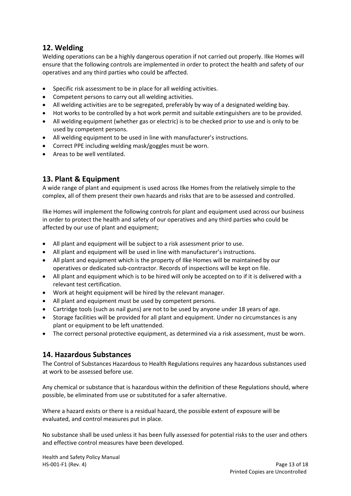# **12. Welding**

Welding operations can be a highly dangerous operation if not carried out properly. Ilke Homes will ensure that the following controls are implemented in order to protect the health and safety of our operatives and any third parties who could be affected.

- Specific risk assessment to be in place for all welding activities.
- Competent persons to carry out all welding activities.
- All welding activities are to be segregated, preferably by way of a designated welding bay.
- Hot works to be controlled by a hot work permit and suitable extinguishers are to be provided.
- All welding equipment (whether gas or electric) is to be checked prior to use and is only to be used by competent persons.
- All welding equipment to be used in line with manufacturer's instructions.
- Correct PPE including welding mask/goggles must be worn.
- Areas to be well ventilated.

# **13. Plant & Equipment**

A wide range of plant and equipment is used across Ilke Homes from the relatively simple to the complex, all of them present their own hazards and risks that are to be assessed and controlled.

Ilke Homes will implement the following controls for plant and equipment used across our business in order to protect the health and safety of our operatives and any third parties who could be affected by our use of plant and equipment;

- All plant and equipment will be subject to a risk assessment prior to use.
- All plant and equipment will be used in line with manufacturer's instructions.
- All plant and equipment which is the property of Ilke Homes will be maintained by our operatives or dedicated sub-contractor. Records of inspections will be kept on file.
- All plant and equipment which is to be hired will only be accepted on to if it is delivered with a relevant test certification.
- Work at height equipment will be hired by the relevant manager.
- All plant and equipment must be used by competent persons.
- Cartridge tools (such as nail guns) are not to be used by anyone under 18 years of age.
- Storage facilities will be provided for all plant and equipment. Under no circumstances is any plant or equipment to be left unattended.
- The correct personal protective equipment, as determined via a risk assessment, must be worn.

#### **14. Hazardous Substances**

The Control of Substances Hazardous to Health Regulations requires any hazardous substances used at work to be assessed before use.

Any chemical or substance that is hazardous within the definition of these Regulations should, where possible, be eliminated from use or substituted for a safer alternative.

Where a hazard exists or there is a residual hazard, the possible extent of exposure will be evaluated, and control measures put in place.

No substance shall be used unless it has been fully assessed for potential risks to the user and others and effective control measures have been developed.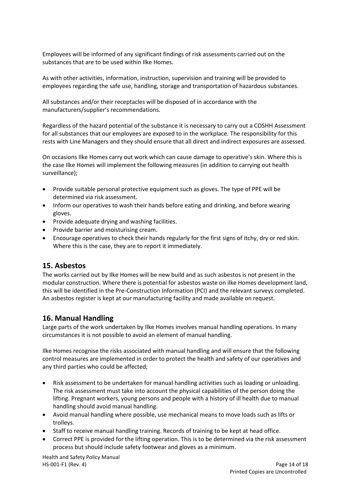Employees will be informed of any significant findings of risk assessments carried out on the substances that are to be used within Ilke Homes.

As with other activities, information, instruction, supervision and training will be provided to employees regarding the safe use, handling, storage and transportation of hazardous substances.

All substances and/or their receptacles will be disposed of in accordance with the manufacturers/supplier's recommendations.

Regardless of the hazard potential of the substance it is necessary to carry out a COSHH Assessment for all substances that our employees are exposed to in the workplace. The responsibility for this rests with Line Managers and they should ensure that all direct and indirect exposures are assessed.

On occasions Ilke Homes carry out work which can cause damage to operative's skin. Where this is the case Ilke Homes will implement the following measures (in addition to carrying out health surveillance);

- Provide suitable personal protective equipment such as gloves. The type of PPE will be determined via risk assessment.
- Inform our operatives to wash their hands before eating and drinking, and before wearing gloves.
- Provide adequate drying and washing facilities.
- Provide barrier and moisturising cream.
- Encourage operatives to check their hands regularly for the first signs of itchy, dry or red skin. Where this is the case, they are to report it immediately.

#### **15. Asbestos**

The works carried out by Ilke Homes will be new build and as such asbestos is not present in the modular construction. Where there is potential for asbestos waste on ilke Homes development land, this will be identified in the Pre-Construction Information (PCI) and the relevant surveys completed. An asbestos register is kept at our manufacturing facility and made available on request.

## **16. Manual Handling**

Large parts of the work undertaken by Ilke Homes involves manual handling operations. In many circumstances it is not possible to avoid an element of manual handling.

Ilke Homes recognise the risks associated with manual handling and will ensure that the following control measures are implemented in order to protect the health and safety of our operatives and any third parties who could be affected;

- Risk assessment to be undertaken for manual handling activities such as loading or unloading. The risk assessment must take into account the physical capabilities of the person doing the lifting. Pregnant workers, young persons and people with a history of ill health due to manual handling should avoid manual handling.
- Avoid manual handling where possible, use mechanical means to move loads such as lifts or trolleys.
- Staff to receive manual handling training. Records of training to be kept at head office.
- Correct PPE is provided for the lifting operation. This is to be determined via the risk assessment process but should include safety footwear and gloves as a minimum.

Health and Safety Policy Manual HS-001-F1 (Rev. 4) Page 14 of 18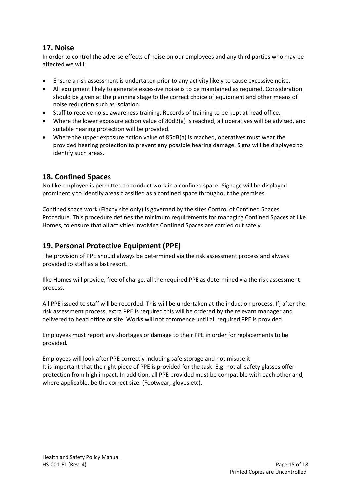# **17. Noise**

In order to control the adverse effects of noise on our employees and any third parties who may be affected we will;

- Ensure a risk assessment is undertaken prior to any activity likely to cause excessive noise.
- All equipment likely to generate excessive noise is to be maintained as required. Consideration should be given at the planning stage to the correct choice of equipment and other means of noise reduction such as isolation.
- Staff to receive noise awareness training. Records of training to be kept at head office.
- Where the lower exposure action value of 80dB(a) is reached, all operatives will be advised, and suitable hearing protection will be provided.
- Where the upper exposure action value of 85dB(a) is reached, operatives must wear the provided hearing protection to prevent any possible hearing damage. Signs will be displayed to identify such areas.

# **18. Confined Spaces**

No Ilke employee is permitted to conduct work in a confined space. Signage will be displayed prominently to identify areas classified as a confined space throughout the premises.

Confined space work (Flaxby site only) is governed by the sites Control of Confined Spaces Procedure. This procedure defines the minimum requirements for managing Confined Spaces at Ilke Homes, to ensure that all activities involving Confined Spaces are carried out safely.

# **19. Personal Protective Equipment (PPE)**

The provision of PPE should always be determined via the risk assessment process and always provided to staff as a last resort.

Ilke Homes will provide, free of charge, all the required PPE as determined via the risk assessment process.

All PPE issued to staff will be recorded. This will be undertaken at the induction process. If, after the risk assessment process, extra PPE is required this will be ordered by the relevant manager and delivered to head office or site. Works will not commence until all required PPE is provided.

Employees must report any shortages or damage to their PPE in order for replacements to be provided.

Employees will look after PPE correctly including safe storage and not misuse it. It is important that the right piece of PPE is provided for the task. E.g. not all safety glasses offer protection from high impact. In addition, all PPE provided must be compatible with each other and, where applicable, be the correct size. (Footwear, gloves etc).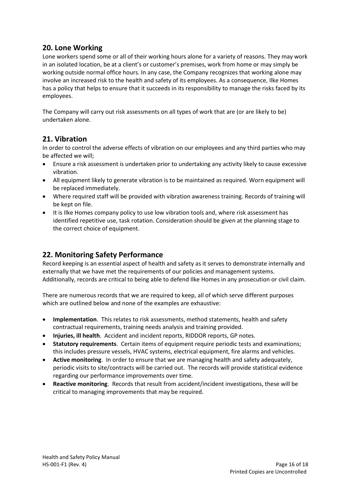## **20. Lone Working**

Lone workers spend some or all of their working hours alone for a variety of reasons. They may work in an isolated location, be at a client's or customer's premises, work from home or may simply be working outside normal office hours. In any case, the Company recognizes that working alone may involve an increased risk to the health and safety of its employees. As a consequence, Ilke Homes has a policy that helps to ensure that it succeeds in its responsibility to manage the risks faced by its employees.

The Company will carry out risk assessments on all types of work that are (or are likely to be) undertaken alone.

## **21. Vibration**

In order to control the adverse effects of vibration on our employees and any third parties who may be affected we will;

- Ensure a risk assessment is undertaken prior to undertaking any activity likely to cause excessive vibration.
- All equipment likely to generate vibration is to be maintained as required. Worn equipment will be replaced immediately.
- Where required staff will be provided with vibration awareness training. Records of training will be kept on file.
- It is Ilke Homes company policy to use low vibration tools and, where risk assessment has identified repetitive use, task rotation. Consideration should be given at the planning stage to the correct choice of equipment.

# **22. Monitoring Safety Performance**

Record keeping is an essential aspect of health and safety as it serves to demonstrate internally and externally that we have met the requirements of our policies and management systems. Additionally, records are critical to being able to defend Ilke Homes in any prosecution or civil claim.

There are numerous records that we are required to keep, all of which serve different purposes which are outlined below and none of the examples are exhaustive:

- **Implementation**. This relates to risk assessments, method statements, health and safety contractual requirements, training needs analysis and training provided.
- **Injuries, ill health**. Accident and incident reports, RIDDOR reports, GP notes.
- **Statutory requirements**. Certain items of equipment require periodic tests and examinations; this includes pressure vessels, HVAC systems, electrical equipment, fire alarms and vehicles.
- **Active monitoring**. In order to ensure that we are managing health and safety adequately, periodic visits to site/contracts will be carried out. The records will provide statistical evidence regarding our performance improvements over time.
- **Reactive monitoring**. Records that result from accident/incident investigations, these will be critical to managing improvements that may be required.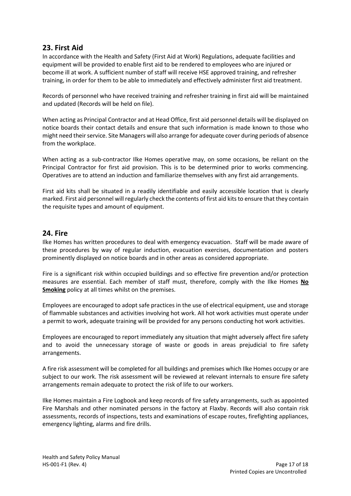## **23. First Aid**

In accordance with the Health and Safety (First Aid at Work) Regulations, adequate facilities and equipment will be provided to enable first aid to be rendered to employees who are injured or become ill at work. A sufficient number of staff will receive HSE approved training, and refresher training, in order for them to be able to immediately and effectively administer first aid treatment.

Records of personnel who have received training and refresher training in first aid will be maintained and updated (Records will be held on file).

When acting as Principal Contractor and at Head Office, first aid personnel details will be displayed on notice boards their contact details and ensure that such information is made known to those who might need their service. Site Managers will also arrange for adequate cover during periods of absence from the workplace.

When acting as a sub-contractor Ilke Homes operative may, on some occasions, be reliant on the Principal Contractor for first aid provision. This is to be determined prior to works commencing. Operatives are to attend an induction and familiarize themselves with any first aid arrangements.

First aid kits shall be situated in a readily identifiable and easily accessible location that is clearly marked. First aid personnel will regularly check the contents of first aid kits to ensure that they contain the requisite types and amount of equipment.

### **24. Fire**

Ilke Homes has written procedures to deal with emergency evacuation. Staff will be made aware of these procedures by way of regular induction, evacuation exercises, documentation and posters prominently displayed on notice boards and in other areas as considered appropriate.

Fire is a significant risk within occupied buildings and so effective fire prevention and/or protection measures are essential. Each member of staff must, therefore, comply with the Ilke Homes **No Smoking** policy at all times whilst on the premises.

Employees are encouraged to adopt safe practices in the use of electrical equipment, use and storage of flammable substances and activities involving hot work. All hot work activities must operate under a permit to work, adequate training will be provided for any persons conducting hot work activities.

Employees are encouraged to report immediately any situation that might adversely affect fire safety and to avoid the unnecessary storage of waste or goods in areas prejudicial to fire safety arrangements.

A fire risk assessment will be completed for all buildings and premises which Ilke Homes occupy or are subject to our work. The risk assessment will be reviewed at relevant internals to ensure fire safety arrangements remain adequate to protect the risk of life to our workers.

Ilke Homes maintain a Fire Logbook and keep records of fire safety arrangements, such as appointed Fire Marshals and other nominated persons in the factory at Flaxby. Records will also contain risk assessments, records of inspections, tests and examinations of escape routes, firefighting appliances, emergency lighting, alarms and fire drills.